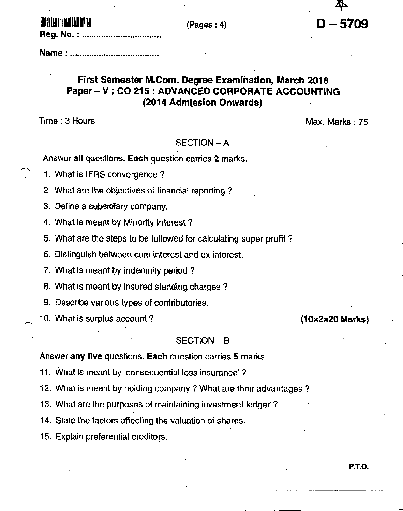# I AUGUS ILII AINS ILIII II

# First Semester M.Com. Degree Examination, March 2018 Paper - V : CO 215 : ADVANCED CORPORATE ACCOUNTING (2014 Admission Onwards)

 $(Pages: 4)$ 

Time: 3 Hours

Max. Marks: 75

 $(10\times2=20$  Marks)

 $D - 5709$ 

## SECTION - A

Answer all questions. Each question carries 2 marks.

- 1. What is IFRS convergence?
- 2. What are the objectives of financial reporting?
- 3. Define a subsidiary company.
- 4. What is meant by Minority Interest?
- 5. What are the steps to be followed for calculating super profit?
- 6. Distinguish between cum interest and ex interest.
- 7. What is meant by indemnity period?
- 8. What is meant by insured standing charges?
- 9. Describe various types of contributories.
- 10. What is surplus account?

## SECTION-B

### Answer any five questions. Each question carries 5 marks.

- 11. What is meant by 'consequential loss insurance'?
- 12. What is meant by holding company? What are their advantages?
- 13. What are the purposes of maintaining investment ledger?
- 14. State the factors affecting the valuation of shares.

.15. Explain preferential creditors.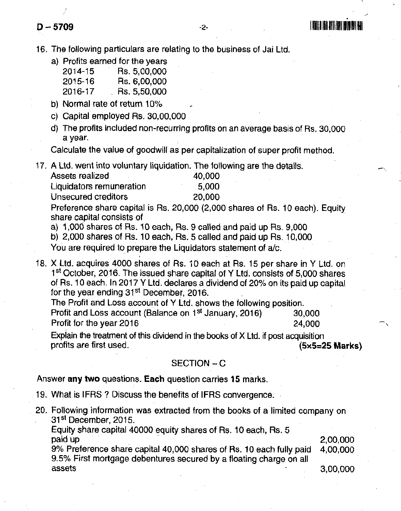**D** - 5709 **1999** 

'16. The following particulars are relating to the business of Jai Ltd.

- a) Protits earned for the years
	- 2014-15 Rs.5,00,000 2015-16 Rs. 6,00,000<br>2016-17 Rs. 5.50.000
	- $-$  Rs. 5,50,000
- b) Normal rate of return  $10\%$
- c) Capital employed Rs. 30,00,000
- d) The profits included non-recurring profits on an average basis of Rs. 30,000 a year.

Calculate the value of goodwill as per capitalization of super profit method.

17. A Ltd. went into voluntary liquidation. The following are the details.

| 40,000                            |
|-----------------------------------|
| Liquidators remuneration<br>5,000 |
| 20,000                            |
|                                   |

Preference share capital is Rs.20,000 (2,000 shares of Rs. 10 each). Equity share capital consists of

a) 1,000 shares of Rs. 10 each, Rs. 9 called and paid up Rs. 9,000

b) 2,000 shares of Rs. 10 each, Rs. 5 called and paid up Rs. 10,000

You are required to prepare the Liquidators statement of a/c.

18. X Ltd. acquires 40OO shares of Bs. iO each at Bs. 15 per share in Y Ltd. on 1<sup>st</sup> October, 2016. The issued share capital of Y Ltd. consists of 5,000 shares of Rs. 10 each. In 2017 Y Ltd. declares a dividend of 20% on its paid up capital for the year ending 31st December, 2016.

The Profit and Loss account of Y Ltd. shows the following position. Profit and Loss account (Balance on 1<sup>st</sup> January, 2016) 30,000<br>Profit for the year 2016 Profit for the year 2016

Expiain the treatment of this dividend in the books of X Ltd. if post acquisition profits are tirst used. (5x5=25 Marks)

### SECTION - C

#### Answer any two questions. Each question carries 15 marks.

- 19. Whai is IFRS ? Discuss the benefits of IFRS convergence.
- 20. Following information was extracted from the books of a limited company on 31st December, 2015.

Equity share capital 40000 equity shares of Rs. 10 each, Rs. 5<br>paid up 2,00,000

9% Prelerence share capital 40,000 shares of Rs. 10 each fully paid 4,00,000 9.5% First mortgage debentures secured by a lloating charge on all assets 3,00,000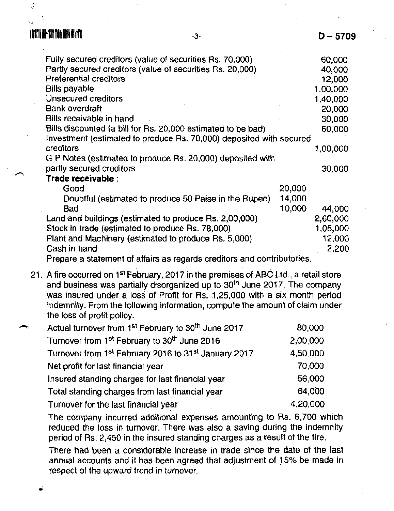| Fully secured creditors (value of securities Rs. 70,000)            |           | 60,000   |
|---------------------------------------------------------------------|-----------|----------|
| Partly secured creditors (value of securities Rs. 20,000)           |           | 40,000   |
| Preferential creditors                                              |           | 12,000   |
| Bills payable                                                       |           | 1,00,000 |
| Unsecured creditors                                                 |           | 1,40,000 |
| <b>Bank overdraft</b>                                               |           | 20,000   |
| Bills receivable in hand                                            |           | 30,000   |
| Bills discounted (a bill for Rs. 20,000 estimated to be bad)        |           | 60,000   |
| Investment (estimated to produce Rs. 70,000) deposited with secured |           |          |
| creditors                                                           |           | 1,00,000 |
| G P Notes (estimated to produce Rs. 20,000) deposited with          |           |          |
| partly secured creditors                                            |           | 30,000   |
| Trade receivable :                                                  |           |          |
| Good                                                                | 20,000    |          |
| Doubtful (estimated to produce 50 Paise in the Rupee)               | $-14,000$ |          |
| Bad                                                                 | 10,000    | 44,000   |
| Land and buildings (estimated to produce Rs. 2,00,000)              |           | 2,60,000 |
| Stock in trade (estimated to produce Rs. 78,000)                    |           | 1,05,000 |
| Plant and Machinery (estimated to produce Rs. 5,000)                |           | 12,000   |
| Cash in hand                                                        |           | 2,200    |
| $\mathbf{F}$<br>.                                                   |           |          |

-3-

Prepare a statement of affairs as regards creditors and contributories.

21. A fire occurred on 1<sup>st</sup> February, 2017 in the premises of ABC Ltd., a retail store and business was partially disorganized up to 30<sup>th</sup> June 2017. The company was insured under a loss of Profit for Rs. 1,25,000 with a six month period indemnity. From the tollowing inlormation, compute the amount of claim under the loss of profit policy.

| $\overline{\phantom{a}}$ | Actual turnover from 1 <sup>st</sup> February to 30 <sup>th</sup> June 2017 | 80,000   |
|--------------------------|-----------------------------------------------------------------------------|----------|
|                          | Turnover from 1 <sup>st</sup> February to 30 <sup>th</sup> June 2016        | 2,00,000 |
|                          | Turnover from 1st February 2016 to 31st January 2017                        | 4,50,000 |
|                          | Net profit for last financial year                                          | 70,000   |
|                          | Insured standing charges for last financial year                            | 56,000   |
|                          | Total standing charges from last financial year                             | 64,000   |
|                          | Turnover for the last financial year                                        | 4,20,000 |

The company incurred additional expenses amounting to Rs. 6,700 which reduced the loss in turnover. There was also a saving during the indemnity period of Rs. 2,450 in the insured standing charges as a result of the fire.

There had been a considerable increase in trade since the date ot the last annual accounts and it has been agreed that adjustment of 15% be made in respect of the upward trend in turnover.